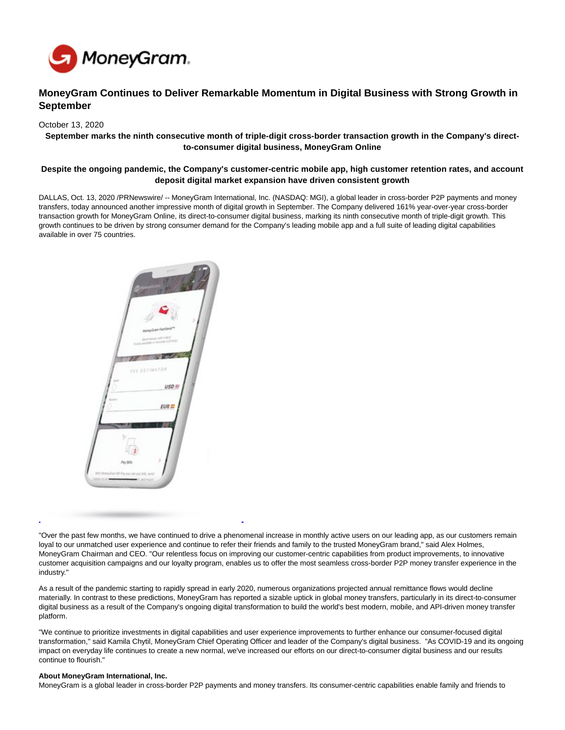

# **MoneyGram Continues to Deliver Remarkable Momentum in Digital Business with Strong Growth in September**

#### October 13, 2020

## **September marks the ninth consecutive month of triple-digit cross-border transaction growth in the Company's directto-consumer digital business, MoneyGram Online**

### **Despite the ongoing pandemic, the Company's customer-centric mobile app, high customer retention rates, and account deposit digital market expansion have driven consistent growth**

DALLAS, Oct. 13, 2020 /PRNewswire/ -- MoneyGram International, Inc. (NASDAQ: MGI), a global leader in cross-border P2P payments and money transfers, today announced another impressive month of digital growth in September. The Company delivered 161% year-over-year cross-border transaction growth for MoneyGram Online, its direct-to-consumer digital business, marking its ninth consecutive month of triple-digit growth. This growth continues to be driven by strong consumer demand for the Company's leading mobile app and a full suite of leading digital capabilities available in over 75 countries.



<sup>&</sup>quot;Over the past few months, we have continued to drive a phenomenal increase in monthly active users on our leading app, as our customers remain loyal to our unmatched user experience and continue to refer their friends and family to the trusted MoneyGram brand," said Alex Holmes, MoneyGram Chairman and CEO. "Our relentless focus on improving our customer-centric capabilities from product improvements, to innovative customer acquisition campaigns and our loyalty program, enables us to offer the most seamless cross-border P2P money transfer experience in the industry."

As a result of the pandemic starting to rapidly spread in early 2020, numerous organizations projected annual remittance flows would decline materially. In contrast to these predictions, MoneyGram has reported a sizable uptick in global money transfers, particularly in its direct-to-consumer digital business as a result of the Company's ongoing digital transformation to build the world's best modern, mobile, and API-driven money transfer platform.

"We continue to prioritize investments in digital capabilities and user experience improvements to further enhance our consumer-focused digital transformation," said Kamila Chytil, MoneyGram Chief Operating Officer and leader of the Company's digital business. "As COVID-19 and its ongoing impact on everyday life continues to create a new normal, we've increased our efforts on our direct-to-consumer digital business and our results continue to flourish."

#### **About MoneyGram International, Inc.**

MoneyGram is a global leader in cross-border P2P payments and money transfers. Its consumer-centric capabilities enable family and friends to